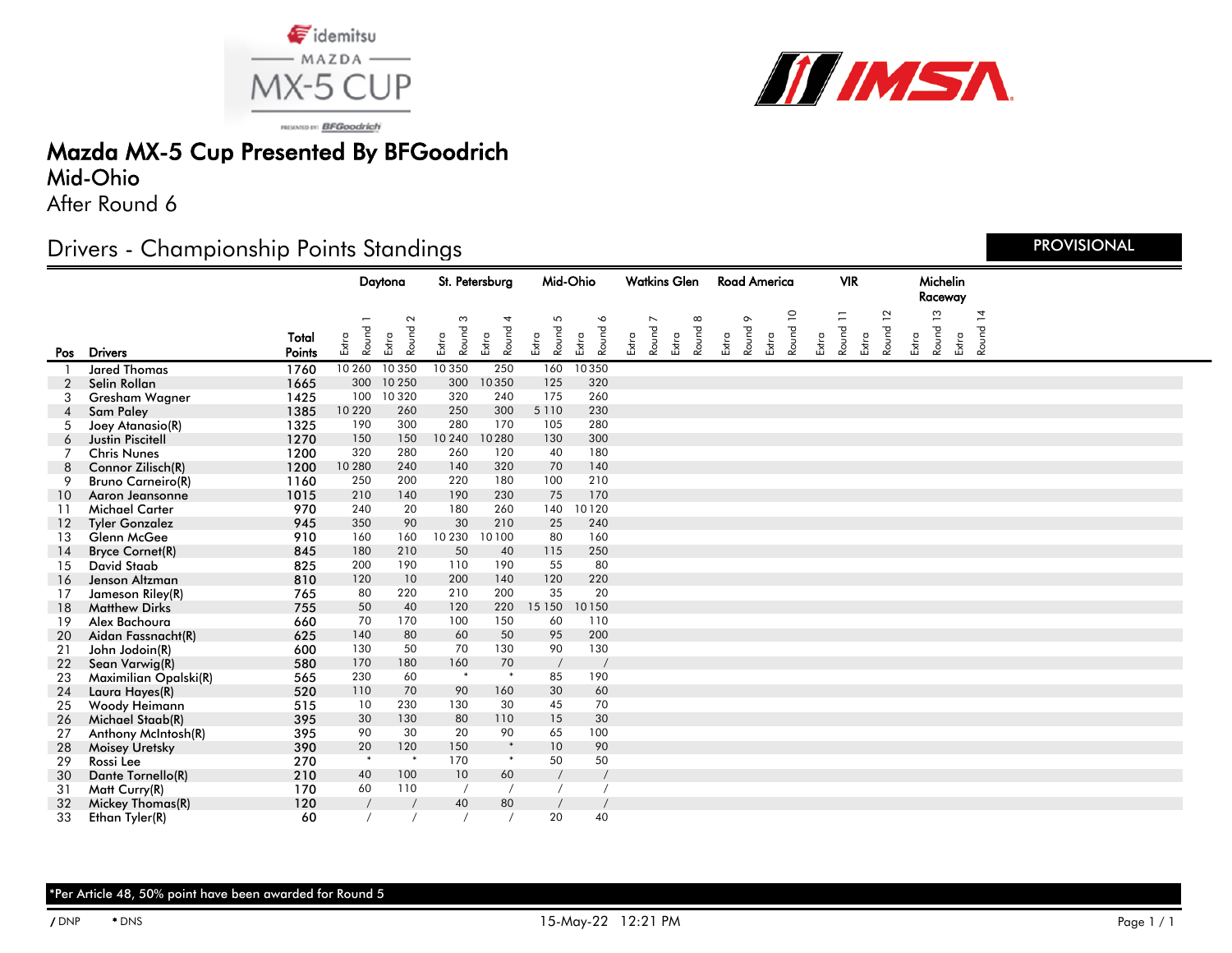



PRISONTO IV: BFGoodrich

## Mazda MX-5 Cup Presented By BFGoodrich

### Mid-Ohio

After Round 6

### Drivers - Championship Points Standings

|     |                          |                 | Daytona        |                          | St. Petersburg   |                     | Mid-Ohio            |                                         | <b>Watkins Glen</b> |                                   | <b>Road America</b>        |       | <b>VIR</b>       |                                  |       | Michelin<br>Raceway |                       |       |                     |                         |
|-----|--------------------------|-----------------|----------------|--------------------------|------------------|---------------------|---------------------|-----------------------------------------|---------------------|-----------------------------------|----------------------------|-------|------------------|----------------------------------|-------|---------------------|-----------------------|-------|---------------------|-------------------------|
| Pos | <b>Drivers</b>           | Total<br>Points | Round<br>Extra | $\sim$<br>Round<br>Extra | Round 3<br>Extra | 4<br>Round<br>Extra | 5<br>Round<br>Extra | $\breve{\phantom{a}}$<br>Round<br>Extra | Extra               | $\overline{\phantom{0}}$<br>Round | $\infty$<br>Round<br>Extra | Extra | $\circ$<br>Round | $\overline{a}$<br>Round<br>Extra | Extra | Ξ<br>Round<br>Extra | $\mathbf{L}$<br>Round | Extra | S<br>Round<br>Extra | $\overline{4}$<br>Round |
|     | <b>Jared Thomas</b>      | 1760            | 10 260         | 10 350                   | 10 350           | 250                 | 160                 | 10350                                   |                     |                                   |                            |       |                  |                                  |       |                     |                       |       |                     |                         |
|     | Selin Rollan             | 1665            | 300            | 10 250                   | 300              | 10350               | 125                 | 320                                     |                     |                                   |                            |       |                  |                                  |       |                     |                       |       |                     |                         |
| 3   | Gresham Wagner           | 1425            | 100            | 10 3 20                  | 320              | 240                 | 175                 | 260                                     |                     |                                   |                            |       |                  |                                  |       |                     |                       |       |                     |                         |
|     | <b>Sam Paley</b>         | 1385            | 10 2 20        | 260                      | 250              | 300                 | 5 1 1 0             | 230                                     |                     |                                   |                            |       |                  |                                  |       |                     |                       |       |                     |                         |
| 5   | Joey Atanasio(R)         | 1325            | 190            | 300                      | 280              | 170                 | 105                 | 280                                     |                     |                                   |                            |       |                  |                                  |       |                     |                       |       |                     |                         |
| 6   | <b>Justin Piscitell</b>  | 1270            | 150            | 150                      | 10 240           | 10280               | 130                 | 300                                     |                     |                                   |                            |       |                  |                                  |       |                     |                       |       |                     |                         |
| 7   | <b>Chris Nunes</b>       | 1200            | 320            | 280                      | 260              | 120                 | 40                  | 180                                     |                     |                                   |                            |       |                  |                                  |       |                     |                       |       |                     |                         |
| 8   | Connor Zilisch(R)        | 1200            | 10 280         | 240                      | 140              | 320                 | 70                  | 140                                     |                     |                                   |                            |       |                  |                                  |       |                     |                       |       |                     |                         |
| 9   | <b>Bruno Carneiro(R)</b> | 1160            | 250            | 200                      | 220              | 180                 | 100                 | 210                                     |                     |                                   |                            |       |                  |                                  |       |                     |                       |       |                     |                         |
| 10  | Agron Jeansonne          | 1015            | 210            | 140                      | 190              | 230                 | 75                  | 170                                     |                     |                                   |                            |       |                  |                                  |       |                     |                       |       |                     |                         |
| 11  | <b>Michael Carter</b>    | 970             | 240            | 20                       | 180              | 260                 | 140                 | 10120                                   |                     |                                   |                            |       |                  |                                  |       |                     |                       |       |                     |                         |
| 12  | <b>Tyler Gonzalez</b>    | 945             | 350            | 90                       | 30               | 210                 | 25                  | 240                                     |                     |                                   |                            |       |                  |                                  |       |                     |                       |       |                     |                         |
| 13  | Glenn McGee              | 910             | 160            | 160                      | 10 230           | 10100               | 80                  | 160                                     |                     |                                   |                            |       |                  |                                  |       |                     |                       |       |                     |                         |
| 14  | <b>Bryce Cornet(R)</b>   | 845             | 180            | 210                      | 50               | 40                  | 115                 | 250                                     |                     |                                   |                            |       |                  |                                  |       |                     |                       |       |                     |                         |
| 15  | <b>David Staab</b>       | 825             | 200            | 190                      | 110              | 190                 | 55                  | 80                                      |                     |                                   |                            |       |                  |                                  |       |                     |                       |       |                     |                         |
| 16  | Jenson Altzman           | 810             | 120            | 10                       | 200              | 140                 | 120                 | 220                                     |                     |                                   |                            |       |                  |                                  |       |                     |                       |       |                     |                         |
| 17  | Jameson Riley(R)         | 765             | 80             | 220                      | 210              | 200                 | 35                  | 20                                      |                     |                                   |                            |       |                  |                                  |       |                     |                       |       |                     |                         |
| 18  | <b>Matthew Dirks</b>     | 755             | 50             | 40                       | 120              | 220                 | 15 150              | 10150                                   |                     |                                   |                            |       |                  |                                  |       |                     |                       |       |                     |                         |
| 19  | Alex Bachoura            | 660             | 70             | 170                      | 100              | 150                 | 60                  | 110                                     |                     |                                   |                            |       |                  |                                  |       |                     |                       |       |                     |                         |
| 20  | Aidan Fassnacht(R)       | 625             | 140            | 80                       | 60               | 50                  | 95                  | 200                                     |                     |                                   |                            |       |                  |                                  |       |                     |                       |       |                     |                         |
| 21  | John Jodoin(R)           | 600             | 130            | 50                       | 70               | 130                 | 90                  | 130                                     |                     |                                   |                            |       |                  |                                  |       |                     |                       |       |                     |                         |
| 22  | Sean Varwig(R)           | 580             | 170            | 180                      | 160              | 70                  |                     |                                         |                     |                                   |                            |       |                  |                                  |       |                     |                       |       |                     |                         |
| 23  | Maximilian Opalski(R)    | 565             | 230            | 60                       | $\ast$           | $\ast$              | 85                  | 190                                     |                     |                                   |                            |       |                  |                                  |       |                     |                       |       |                     |                         |
| 24  | Laura Hayes(R)           | 520             | 110            | 70                       | 90               | 160                 | 30                  | 60                                      |                     |                                   |                            |       |                  |                                  |       |                     |                       |       |                     |                         |
| 25  | Woody Heimann            | 515             | 10             | 230                      | 130              | 30                  | 45                  | 70                                      |                     |                                   |                            |       |                  |                                  |       |                     |                       |       |                     |                         |
| 26  | Michael Staab(R)         | 395             | 30             | 130                      | 80               | 110                 | 15                  | 30                                      |                     |                                   |                            |       |                  |                                  |       |                     |                       |       |                     |                         |
| 27  | Anthony McIntosh(R)      | 395             | 90             | 30                       | 20               | 90                  | 65                  | 100                                     |                     |                                   |                            |       |                  |                                  |       |                     |                       |       |                     |                         |
| 28  | <b>Moisey Uretsky</b>    | 390             | 20             | 120                      | 150              | $\ast$              | 10                  | 90                                      |                     |                                   |                            |       |                  |                                  |       |                     |                       |       |                     |                         |
| 29  | Rossi Lee                | 270             | $\ast$         | $\ast$                   | 170              | $\ast$              | 50                  | 50                                      |                     |                                   |                            |       |                  |                                  |       |                     |                       |       |                     |                         |
| 30  | Dante Tornello(R)        | 210             | 40             | 100                      | 10               | 60                  |                     | $\sqrt{ }$                              |                     |                                   |                            |       |                  |                                  |       |                     |                       |       |                     |                         |
| 31  | Matt Curry(R)            | 170             | 60             | 110                      |                  |                     |                     |                                         |                     |                                   |                            |       |                  |                                  |       |                     |                       |       |                     |                         |
| 32  | Mickey Thomas(R)         | 120             |                |                          | 40               | 80                  |                     |                                         |                     |                                   |                            |       |                  |                                  |       |                     |                       |       |                     |                         |
| 33  | Ethan Tyler(R)           | 60              |                |                          |                  |                     | 20                  | 40                                      |                     |                                   |                            |       |                  |                                  |       |                     |                       |       |                     |                         |

PROVISIONAL